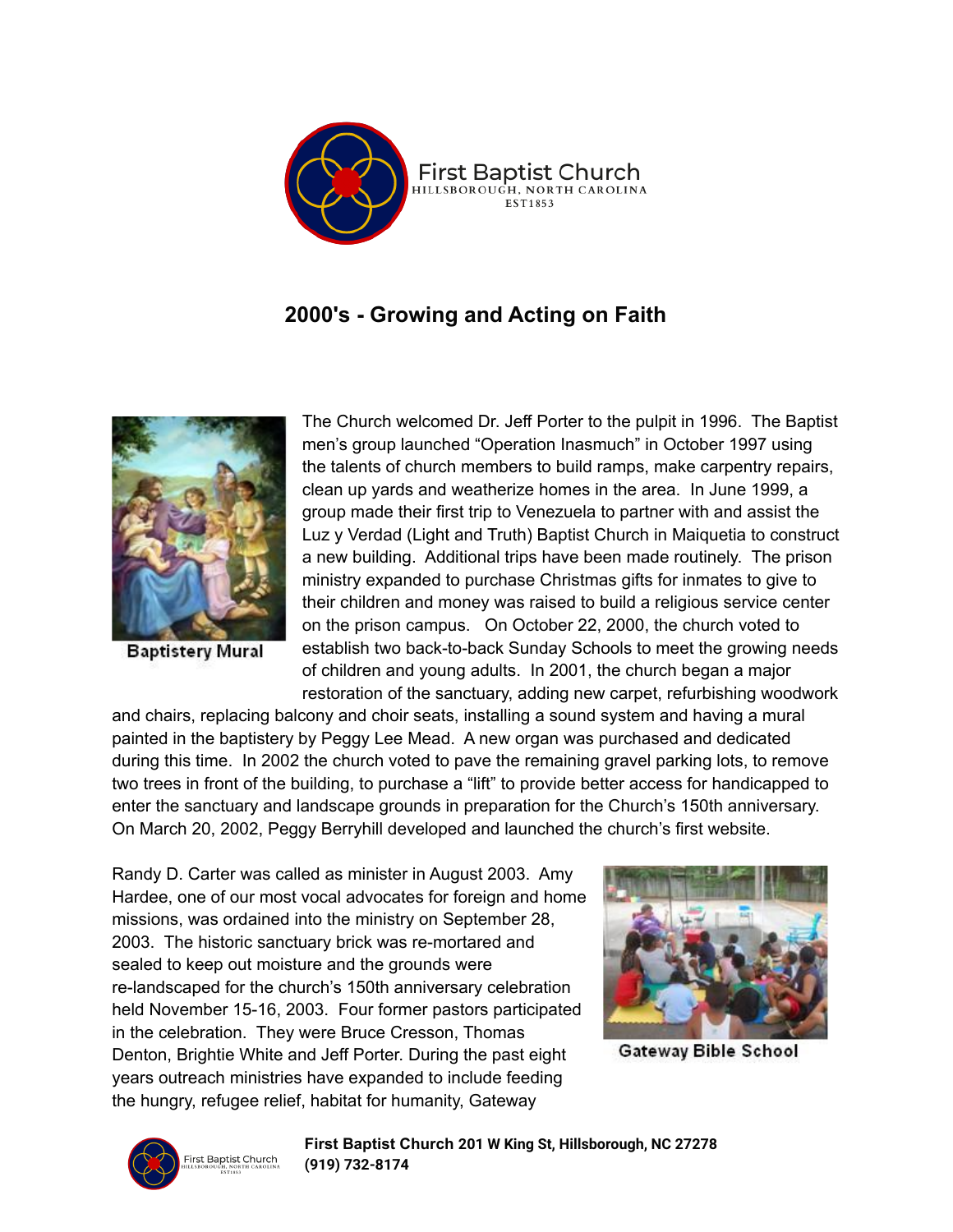

## **2000's - Growing and Acting on Faith**



**Baptistery Mural** 

The Church welcomed Dr. Jeff Porter to the pulpit in 1996. The Baptist men's group launched "Operation Inasmuch" in October 1997 using the talents of church members to build ramps, make carpentry repairs, clean up yards and weatherize homes in the area. In June 1999, a group made their first trip to Venezuela to partner with and assist the Luz y Verdad (Light and Truth) Baptist Church in Maiquetia to construct a new building. Additional trips have been made routinely. The prison ministry expanded to purchase Christmas gifts for inmates to give to their children and money was raised to build a religious service center on the prison campus. On October 22, 2000, the church voted to establish two back-to-back Sunday Schools to meet the growing needs of children and young adults. In 2001, the church began a major restoration of the sanctuary, adding new carpet, refurbishing woodwork

and chairs, replacing balcony and choir seats, installing a sound system and having a mural painted in the baptistery by Peggy Lee Mead. A new organ was purchased and dedicated during this time. In 2002 the church voted to pave the remaining gravel parking lots, to remove two trees in front of the building, to purchase a "lift" to provide better access for handicapped to enter the sanctuary and landscape grounds in preparation for the Church's 150th anniversary. On March 20, 2002, Peggy Berryhill developed and launched the church's first website.

Randy D. Carter was called as minister in August 2003. Amy Hardee, one of our most vocal advocates for foreign and home missions, was ordained into the ministry on September 28, 2003. The historic sanctuary brick was re-mortared and sealed to keep out moisture and the grounds were re-landscaped for the church's 150th anniversary celebration held November 15-16, 2003. Four former pastors participated in the celebration. They were Bruce Cresson, Thomas Denton, Brightie White and Jeff Porter. During the past eight years outreach ministries have expanded to include feeding the hungry, refugee relief, habitat for humanity, Gateway



Gateway Bible School



**First Baptist Church 201 W King St, Hillsborough, NC 27278 (919) [732-8174](https://www.google.com/search?q=first+baptist+hillsborough%2C+nc&oq=first+ba&aqs=chrome.0.69i59j46i131i199i291i433i512j69i59j69i57j0i131i433i512j69i60j69i61j69i60.1105j0j7&sourceid=chrome&ie=UTF-8#)**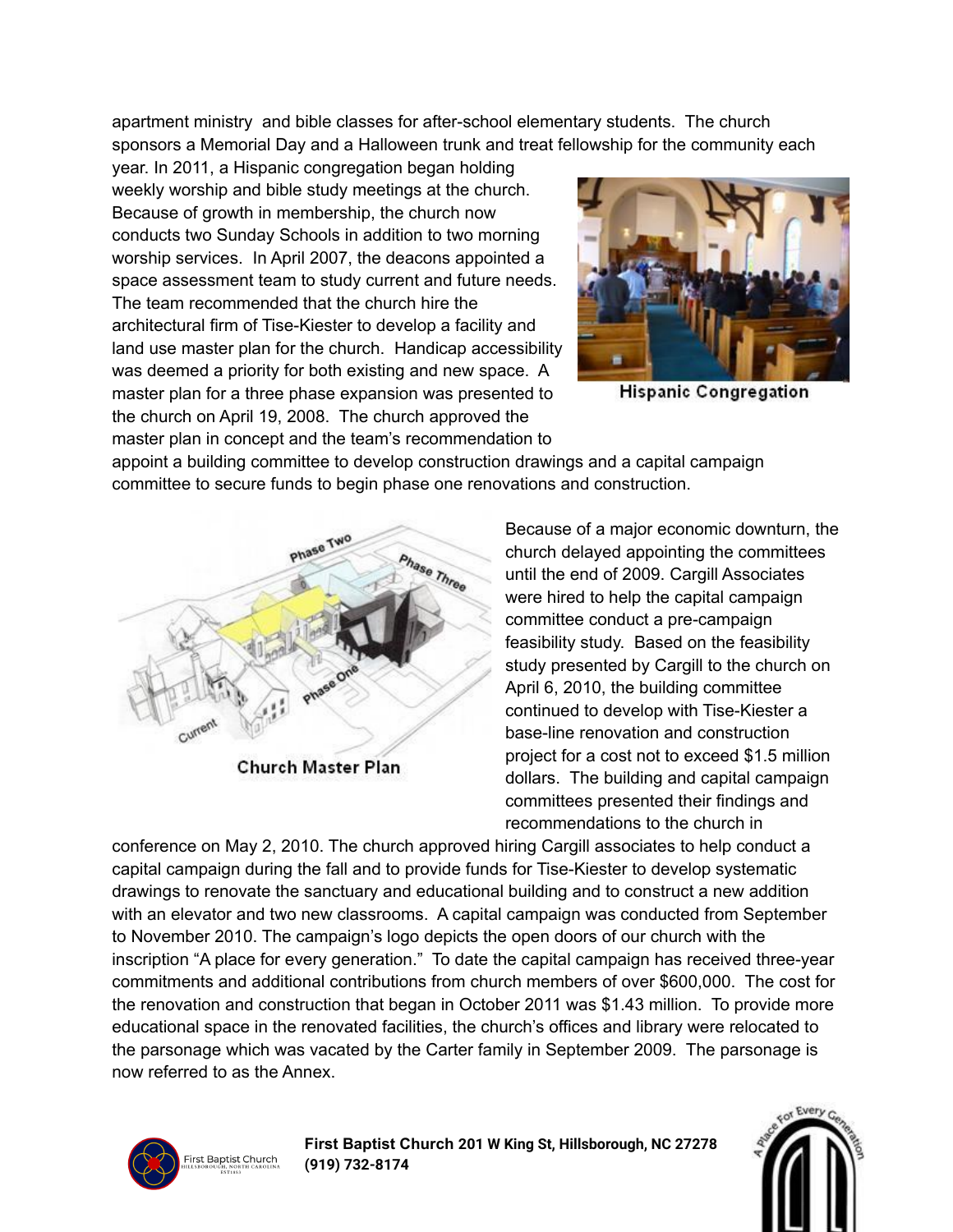apartment ministry and bible classes for after-school elementary students. The church sponsors a Memorial Day and a Halloween trunk and treat fellowship for the community each

year. In 2011, a Hispanic congregation began holding weekly worship and bible study meetings at the church. Because of growth in membership, the church now conducts two Sunday Schools in addition to two morning worship services. In April 2007, the deacons appointed a space assessment team to study current and future needs. The team recommended that the church hire the architectural firm of Tise-Kiester to develop a facility and land use master plan for the church. Handicap accessibility was deemed a priority for both existing and new space. A master plan for a three phase expansion was presented to the church on April 19, 2008. The church approved the master plan in concept and the team's recommendation to



**Hispanic Congregation** 

appoint a building committee to develop construction drawings and a capital campaign committee to secure funds to begin phase one renovations and construction.



Church Master Plan

Because of a major economic downturn, the church delayed appointing the committees until the end of 2009. Cargill Associates were hired to help the capital campaign committee conduct a pre-campaign feasibility study. Based on the feasibility study presented by Cargill to the church on April 6, 2010, the building committee continued to develop with Tise-Kiester a base-line renovation and construction project for a cost not to exceed \$1.5 million dollars. The building and capital campaign committees presented their findings and recommendations to the church in

conference on May 2, 2010. The church approved hiring Cargill associates to help conduct a capital campaign during the fall and to provide funds for Tise-Kiester to develop systematic drawings to renovate the sanctuary and educational building and to construct a new addition with an elevator and two new classrooms. A capital campaign was conducted from September to November 2010. The campaign's logo depicts the open doors of our church with the inscription "A place for every generation." To date the capital campaign has received three-year commitments and additional contributions from church members of over \$600,000. The cost for the renovation and construction that began in October 2011 was \$1.43 million. To provide more educational space in the renovated facilities, the church's offices and library were relocated to the parsonage which was vacated by the Carter family in September 2009. The parsonage is now referred to as the Annex.



**First Baptist Church 201 W King St, Hillsborough, NC 27278 (919) [732-8174](https://www.google.com/search?q=first+baptist+hillsborough%2C+nc&oq=first+ba&aqs=chrome.0.69i59j46i131i199i291i433i512j69i59j69i57j0i131i433i512j69i60j69i61j69i60.1105j0j7&sourceid=chrome&ie=UTF-8#)**

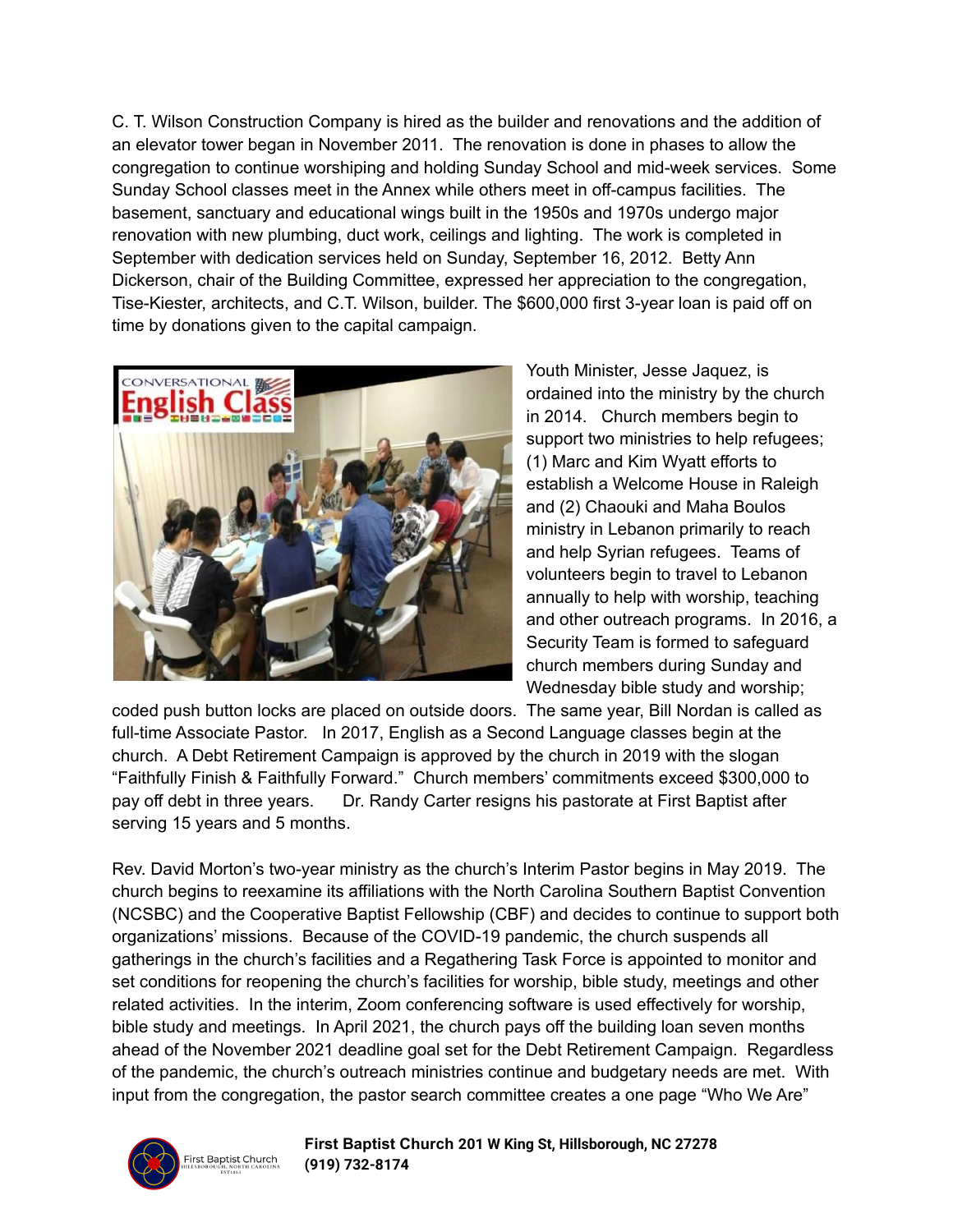C. T. Wilson Construction Company is hired as the builder and renovations and the addition of an elevator tower began in November 2011. The renovation is done in phases to allow the congregation to continue worshiping and holding Sunday School and mid-week services. Some Sunday School classes meet in the Annex while others meet in off-campus facilities. The basement, sanctuary and educational wings built in the 1950s and 1970s undergo major renovation with new plumbing, duct work, ceilings and lighting. The work is completed in September with dedication services held on Sunday, September 16, 2012. Betty Ann Dickerson, chair of the Building Committee, expressed her appreciation to the congregation, Tise-Kiester, architects, and C.T. Wilson, builder. The \$600,000 first 3-year loan is paid off on time by donations given to the capital campaign.



Youth Minister, Jesse Jaquez, is ordained into the ministry by the church in 2014. Church members begin to support two ministries to help refugees; (1) Marc and Kim Wyatt efforts to establish a Welcome House in Raleigh and (2) Chaouki and Maha Boulos ministry in Lebanon primarily to reach and help Syrian refugees. Teams of volunteers begin to travel to Lebanon annually to help with worship, teaching and other outreach programs. In 2016, a Security Team is formed to safeguard church members during Sunday and Wednesday bible study and worship;

coded push button locks are placed on outside doors. The same year, Bill Nordan is called as full-time Associate Pastor. In 2017, English as a Second Language classes begin at the church. A Debt Retirement Campaign is approved by the church in 2019 with the slogan "Faithfully Finish & Faithfully Forward." Church members' commitments exceed \$300,000 to pay off debt in three years. Dr. Randy Carter resigns his pastorate at First Baptist after serving 15 years and 5 months.

Rev. David Morton's two-year ministry as the church's Interim Pastor begins in May 2019. The church begins to reexamine its affiliations with the North Carolina Southern Baptist Convention (NCSBC) and the Cooperative Baptist Fellowship (CBF) and decides to continue to support both organizations' missions. Because of the COVID-19 pandemic, the church suspends all gatherings in the church's facilities and a Regathering Task Force is appointed to monitor and set conditions for reopening the church's facilities for worship, bible study, meetings and other related activities. In the interim, Zoom conferencing software is used effectively for worship, bible study and meetings. In April 2021, the church pays off the building loan seven months ahead of the November 2021 deadline goal set for the Debt Retirement Campaign. Regardless of the pandemic, the church's outreach ministries continue and budgetary needs are met. With input from the congregation, the pastor search committee creates a one page "Who We Are"



**First Baptist Church 201 W King St, Hillsborough, NC 27278 (919) [732-8174](https://www.google.com/search?q=first+baptist+hillsborough%2C+nc&oq=first+ba&aqs=chrome.0.69i59j46i131i199i291i433i512j69i59j69i57j0i131i433i512j69i60j69i61j69i60.1105j0j7&sourceid=chrome&ie=UTF-8#)**